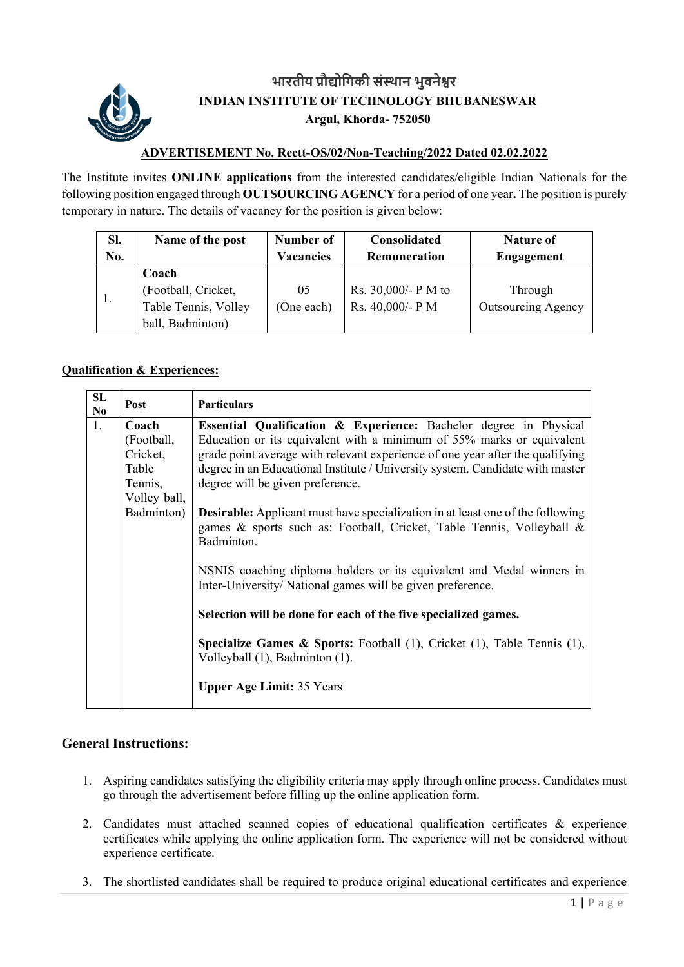

## **भारतीय ŮौȨोिगकी सं̾थान भुवनेʷर INDIAN INSTITUTE OF TECHNOLOGY BHUBANESWAR Argul, Khorda- 752050**

## **ADVERTISEMENT No. Rectt-OS/02/Non-Teaching/2022 Dated 02.02.2022**

The Institute invites **ONLINE applications** from the interested candidates/eligible Indian Nationals for the following position engaged through **OUTSOURCING AGENCY** for a period of one year**.** The position is purely temporary in nature. The details of vacancy for the position is given below:

| SI. | Name of the post                                                         | Number of        | <b>Consolidated</b>                     | <b>Nature of</b>                     |
|-----|--------------------------------------------------------------------------|------------------|-----------------------------------------|--------------------------------------|
| No. |                                                                          | <b>Vacancies</b> | Remuneration                            | <b>Engagement</b>                    |
|     | Coach<br>(Football, Cricket,<br>Table Tennis, Volley<br>ball, Badminton) | 05<br>(One each) | Rs. 30,000/- P M to<br>Rs. 40,000/- P M | Through<br><b>Outsourcing Agency</b> |

## **Qualification & Experiences:**

| SL<br>No | Post                                                                              | <b>Particulars</b>                                                                                                                                                                                                                                                                                                                                                                                                                                                                                                                                                                                                                                                                                                                                                                                                                                                                   |
|----------|-----------------------------------------------------------------------------------|--------------------------------------------------------------------------------------------------------------------------------------------------------------------------------------------------------------------------------------------------------------------------------------------------------------------------------------------------------------------------------------------------------------------------------------------------------------------------------------------------------------------------------------------------------------------------------------------------------------------------------------------------------------------------------------------------------------------------------------------------------------------------------------------------------------------------------------------------------------------------------------|
| 1.       | Coach<br>(Football,<br>Cricket,<br>Table<br>Tennis,<br>Volley ball,<br>Badminton) | <b>Essential Qualification &amp; Experience:</b> Bachelor degree in Physical<br>Education or its equivalent with a minimum of 55% marks or equivalent<br>grade point average with relevant experience of one year after the qualifying<br>degree in an Educational Institute / University system. Candidate with master<br>degree will be given preference.<br><b>Desirable:</b> Applicant must have specialization in at least one of the following<br>games & sports such as: Football, Cricket, Table Tennis, Volleyball &<br>Badminton.<br>NSNIS coaching diploma holders or its equivalent and Medal winners in<br>Inter-University/National games will be given preference.<br>Selection will be done for each of the five specialized games.<br><b>Specialize Games &amp; Sports:</b> Football $(1)$ , Cricket $(1)$ , Table Tennis $(1)$ ,<br>Volleyball (1), Badminton (1). |
|          |                                                                                   | <b>Upper Age Limit: 35 Years</b>                                                                                                                                                                                                                                                                                                                                                                                                                                                                                                                                                                                                                                                                                                                                                                                                                                                     |

## **General Instructions:**

- 1. Aspiring candidates satisfying the eligibility criteria may apply through online process. Candidates must go through the advertisement before filling up the online application form.
- 2. Candidates must attached scanned copies of educational qualification certificates & experience certificates while applying the online application form. The experience will not be considered without experience certificate.
- 3. The shortlisted candidates shall be required to produce original educational certificates and experience